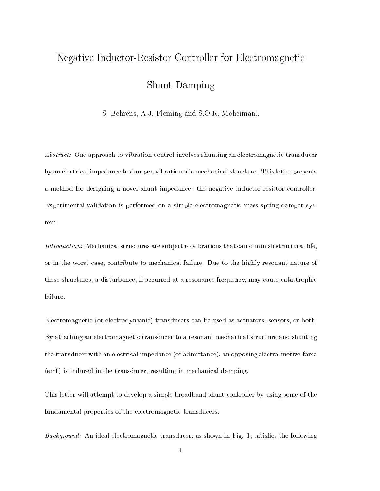# Negative Indu
tor-Resistor Controller for Ele
tromagneti

 $S = S \cdot S = S \cdot S = S \cdot S$ 

S. Behrens, A.J. Fleming and S.O.R. Moheimani.

Abstract: One approach to vibration control involves shunting an electromagnetic transducer by an ele
tri
al impedan
e to dampen vibration of a me
hani
al stru
ture. This letter presents a method for designing a novel shunt impedan
e: the negative indu
tor-resistor ontroller. Experimental validation is performed on a simple electromagnetic mass-spring-damper system.

Introduction: Mechanical structures are subject to vibrations that can diminish structural life, or in the worst ase, ontribute to me
hani
al failure. Due to the highly resonant nature of these structures, a disturbance, if occurred at a resonance frequency, may cause catastrophic failure.

Ele
tromagneti (or ele
trodynami
) transdu
ers an be used as a
tuators, sensors, or both. By attaching an electromagnetic transducer to a resonant mechanical structure and shunting the transducer with an electrical impedance (or admittance), an opposing electro-motive-force (emf) is induced in the transducer, resulting in mechanical damping.

This letter will attempt to develop a simple broadband shunt ontroller by using some of the fundamental properties of the electromagnetic transducers.

Background: An ideal electromagnetic transducer, as shown in Fig. 1, satisfies the following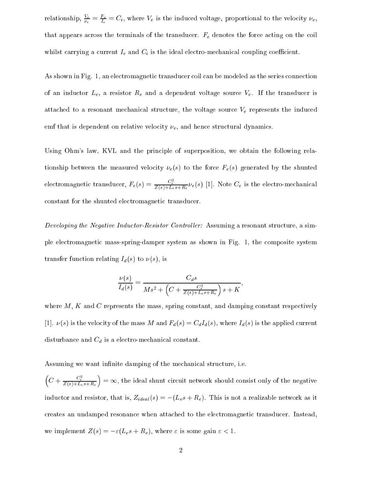relationship,  $\frac{v_e}{\nu_e} = \frac{v_e}{\tau_e} = C_i$ , where  $v_e$  is the induced voltage, proportional to the velocity  $\nu_e$ , that appears across the terminals of the transducer.  $F_e$  denotes the force acting on the coil whilst carrying a current  $I_e$  and  $C_i$  is the ideal electro-mechanical coupling coefficient.

As shown in Fig. 1, an electromagnetic transducer coil can be modeled as the series connection of an inductor  $L_e$ , a resistor  $R_e$  and a dependent voltage source  $V_e$ . If the transducer is attached to a resonant mechanical structure, the voltage source  $V_e$  represents the induced emf that is dependent on relative velocity  $\nu_e$ , and hence structural dynamics.

Using Ohm's law, KVL and the principle of superposition, we obtain the following relationship between the measured velocity  $\nu_e(s)$  to the force  $F_e(s)$  generated by the shunted electromagnetic transducer,  $F_e(s) = \frac{C_e}{Z(s) + L_e s + R_e} \nu_e(s)$  [1]. Note  $C_e$  is the electro-mechanical onstant for the shunted ele
tromagneti transdu
er.

Developing the Negative Inductor-Resistor Controller: Assuming a resonant structure, a simple ele
tromagneti mass-spring-damper system as shown in Fig. 1, the omposite system transfer function relating  $I_d(s)$  to  $\nu(s)$ , is

$$
\frac{\nu(s)}{I_d(s)} = \frac{C_d s}{Ms^2 + \left(C + \frac{C_e^2}{Z(s) + L_e s + R_e}\right)s + K}
$$

where  $M$ ,  $K$  and  $C$  represents the mass, spring constant, and damping constant respectively [1].  $\nu(s)$  is the velocity of the mass M and  $F_d(s) = C_d I_d(s)$ , where  $I_d(s)$  is the applied current disturbance and  $C_d$  is a electro-mechanical constant.

Assuming we want infinite damping of the mechanical structure, i.e.

 $\sim$ 

 $\overline{\phantom{a}}$ 

 $C+\frac{C_e}{Z(s)+L_e s+R_e}$ = 1, the ideal shunt ir
uit network should onsist only of the negative inductor and resistor, that is,  $Z_{ideal}(s) = -(L_e s + R_e)$ . This is not a realizable network as it creates an undamped resonance when attached to the electromagnetic transducer. Instead, we implement  $Z(s) = -\varepsilon (L_e s + R_e)$ , where  $\varepsilon$  is some gain  $\varepsilon < 1$ .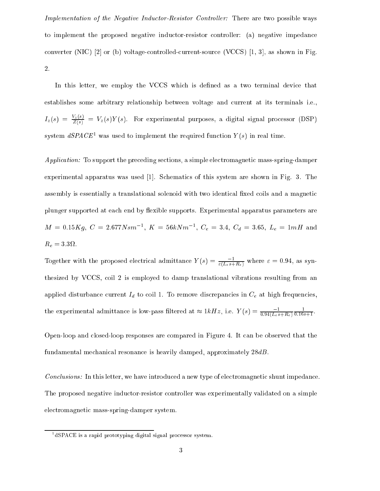Implementation of the Negative Inductor-Resistor Controller: There are two possible ways to implement the proposed negative indu
tor-resistor ontroller: (a) negative impedan
e converter (NIC)  $[2]$  or (b) voltage-controlled-current-source (VCCS)  $[1, 3]$ , as shown in Fig. 2.

In this letter, we employ the VCCS which is defined as a two terminal device that establishes some arbitrary relationship between voltage and urrent at its terminals i.e.,  $I_z(s) = \frac{z(s)}{Z(s)} = V_z(s)Y(s)$ . For experimental purposes, a digital signal processor (DSP) system  $\omega$ PACE was used to implement the required function  $\overline{T}(s)$  in real time.

Application: To support the preceding sections, a simple electromagnetic mass-spring-damper experimental apparatus was used  $[1]$ . Schematics of this system are shown in Fig. 3. The assembly is essentially a translational solenoid with two identical fixed coils and a magnetic plunger supported at each end by flexible supports. Experimental apparatus parameters are  $M = 0.15Kg, \ U = 2.077N s m^{-1}, \ K = 50KN m^{-1}, \ U_{e} = 3.4, \ U_{d} = 3.05, \ L_{e} = 1mH$  and Re <sup>=</sup> 3:3 .

Together with the proposed electrical admittance  $Y(s) = \frac{1}{\varepsilon (L_e s + R_e)}$  where  $\varepsilon = 0.94$ , as synthesized by VCCS, oil 2 is employed to damp translational vibrations resulting from an applied disturbance current  $I_d$  to coil 1. To remove discrepancies in  $C_e$  at high frequencies, the experimental admittance is low-pass filtered at  $\approx 1\kappa Hz,$  i.e.  $Y\left(s\right)=\frac{1}{0.94\left(L_e s+R_e\right)}$  $0.16s+1$ 

Open-loop and losed-loop responses are ompared in Figure 4. It an be observed that the fundamental mechanical resonance is heavily damped, approximately  $28dB$ .

Conclusions: In this letter, we have introduced a new type of electromagnetic shunt impedance. The proposed negative indu
tor-resistor ontroller was experimentally validated on a simple electromagnetic mass-spring-damper system.

<sup>1</sup> dSPACE is a rapid prototyping digital signal pro
essor system.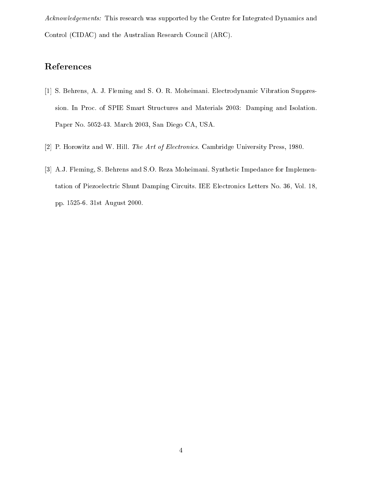Acknowledgements: This research was supported by the Centre for Integrated Dynamics and Control (CIDAC) and the Australian Research Council (ARC).

### References

- [1] S. Behrens, A. J. Fleming and S. O. R. Moheimani. Electrodynamic Vibration Suppression. In Proc. of SPIE Smart Structures and Materials 2003: Damping and Isolation. Paper No. 5052-43. March 2003, San Diego CA, USA.
- [2] P. Horowitz and W. Hill. The Art of Electronics. Cambridge University Press, 1980.
- [3] A.J. Fleming, S. Behrens and S.O. Reza Moheimani. Synthetic Impedance for Implementation of Piezoelectric Shunt Damping Circuits. IEE Electronics Letters No. 36, Vol. 18, pp. 1525-6. 31st August 2000.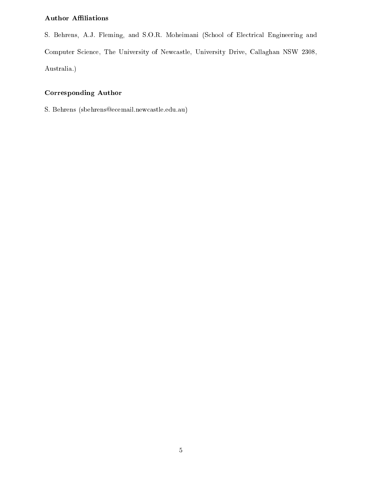#### Author AÆliations

S. Behrens, A.J. Fleming, and S.O.R. Moheimani (School of Electrical Engineering and Computer Science, The University of Newcastle, University Drive, Callaghan NSW 2308, Australia.)

#### Corresponding Author

S. Behrens (sbehrens@ecemail.newcastle.edu.au)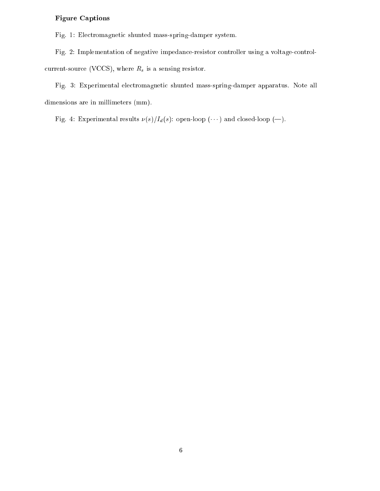#### Figure Captions

Fig. 1: Electromagnetic shunted mass-spring-damper system.

Fig. 2: Implementation of negative impedance-resistor controller using a voltage-controlcurrent-source (VCCS), where  $R_s$  is a sensing resistor.

Fig. 3: Experimental electromagnetic shunted mass-spring-damper apparatus. Note all dimensions are in millimeters (mm).

Fig. 4: Experimental results  $\nu(s)/I_d(s)$ : open-loop ( $\cdots$ ) and closed-loop (--).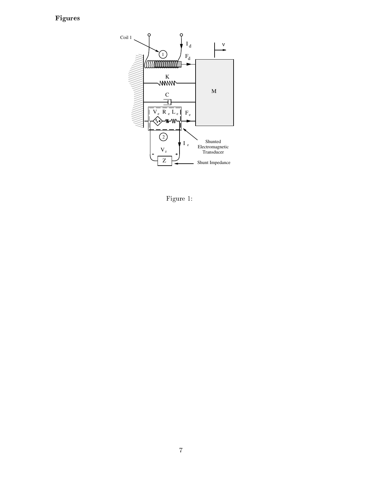## Figures



Figure 1: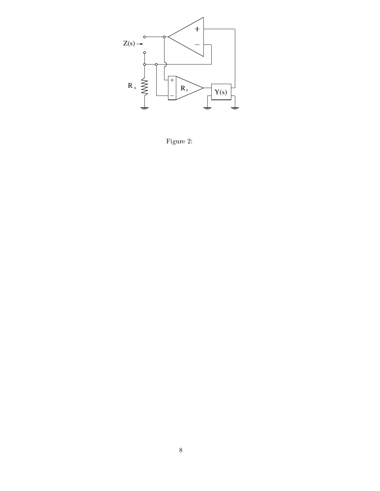

Figure 2: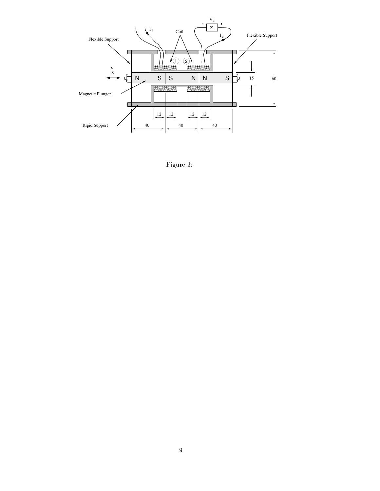

Figure 3: